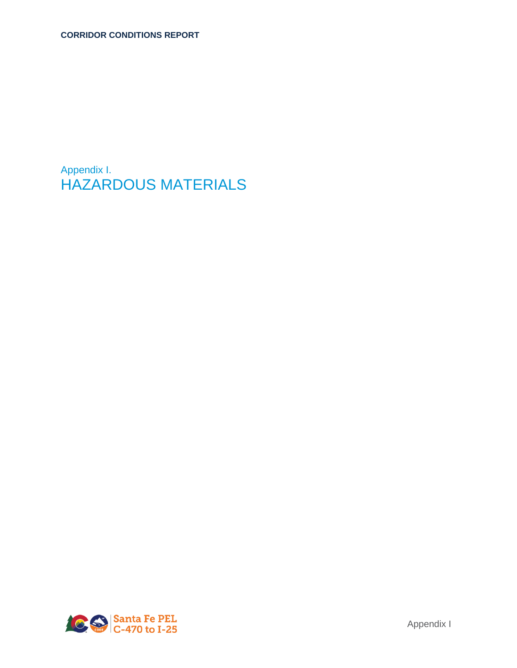Appendix I. HAZARDOUS MATERIALS

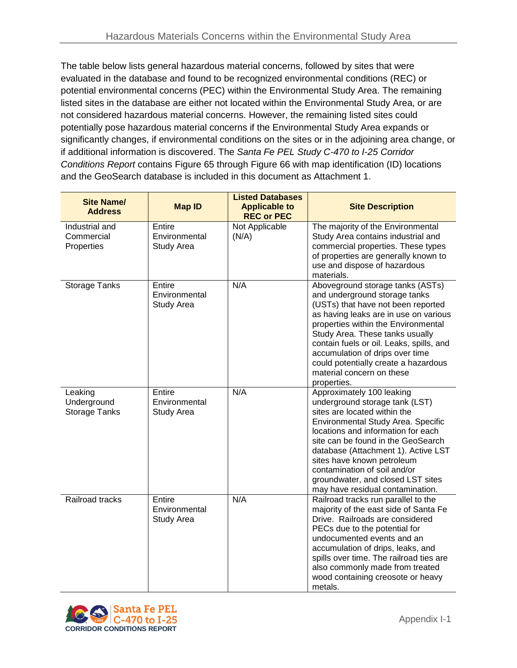The table below lists general hazardous material concerns, followed by sites that were evaluated in the database and found to be recognized environmental conditions (REC) or potential environmental concerns (PEC) within the Environmental Study Area. The remaining listed sites in the database are either not located within the Environmental Study Area, or are not considered hazardous material concerns. However, the remaining listed sites could potentially pose hazardous material concerns if the Environmental Study Area expands or significantly changes, if environmental conditions on the sites or in the adjoining area change, or if additional information is discovered. The *Santa Fe PEL Study C-470 to I-25 Corridor Conditions Report* contains Figure 65 through Figure 66 with map identification (ID) locations and the GeoSearch database is included in this document as Attachment 1.

| <b>Site Name/</b><br><b>Address</b>        | <b>Map ID</b>                         | <b>Listed Databases</b><br><b>Applicable to</b><br><b>REC or PEC</b> | <b>Site Description</b>                                                                                                                                                                                                                                                                                                                                                                       |
|--------------------------------------------|---------------------------------------|----------------------------------------------------------------------|-----------------------------------------------------------------------------------------------------------------------------------------------------------------------------------------------------------------------------------------------------------------------------------------------------------------------------------------------------------------------------------------------|
| Industrial and<br>Commercial<br>Properties | Entire<br>Environmental<br>Study Area | Not Applicable<br>(N/A)                                              | The majority of the Environmental<br>Study Area contains industrial and<br>commercial properties. These types<br>of properties are generally known to<br>use and dispose of hazardous<br>materials.                                                                                                                                                                                           |
| <b>Storage Tanks</b>                       | Entire<br>Environmental<br>Study Area | N/A                                                                  | Aboveground storage tanks (ASTs)<br>and underground storage tanks<br>(USTs) that have not been reported<br>as having leaks are in use on various<br>properties within the Environmental<br>Study Area. These tanks usually<br>contain fuels or oil. Leaks, spills, and<br>accumulation of drips over time<br>could potentially create a hazardous<br>material concern on these<br>properties. |
| Leaking<br>Underground<br>Storage Tanks    | Entire<br>Environmental<br>Study Area | N/A                                                                  | Approximately 100 leaking<br>underground storage tank (LST)<br>sites are located within the<br>Environmental Study Area. Specific<br>locations and information for each<br>site can be found in the GeoSearch<br>database (Attachment 1). Active LST<br>sites have known petroleum<br>contamination of soil and/or<br>groundwater, and closed LST sites<br>may have residual contamination.   |
| Railroad tracks                            | Entire<br>Environmental<br>Study Area | N/A                                                                  | Railroad tracks run parallel to the<br>majority of the east side of Santa Fe<br>Drive. Railroads are considered<br>PECs due to the potential for<br>undocumented events and an<br>accumulation of drips, leaks, and<br>spills over time. The railroad ties are<br>also commonly made from treated<br>wood containing creosote or heavy<br>metals.                                             |

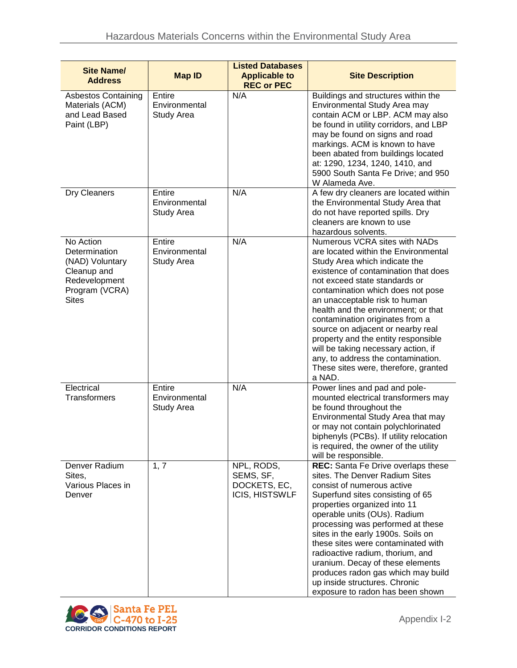| <b>Site Name/</b><br><b>Address</b>                                                                             | <b>Map ID</b>                                | <b>Listed Databases</b><br><b>Applicable to</b><br><b>REC or PEC</b> | <b>Site Description</b>                                                                                                                                                                                                                                                                                                                                                                                                                                                                                                                    |
|-----------------------------------------------------------------------------------------------------------------|----------------------------------------------|----------------------------------------------------------------------|--------------------------------------------------------------------------------------------------------------------------------------------------------------------------------------------------------------------------------------------------------------------------------------------------------------------------------------------------------------------------------------------------------------------------------------------------------------------------------------------------------------------------------------------|
| <b>Asbestos Containing</b><br>Materials (ACM)<br>and Lead Based<br>Paint (LBP)                                  | Entire<br>Environmental<br><b>Study Area</b> | N/A                                                                  | Buildings and structures within the<br>Environmental Study Area may<br>contain ACM or LBP. ACM may also<br>be found in utility corridors, and LBP<br>may be found on signs and road<br>markings. ACM is known to have<br>been abated from buildings located<br>at: 1290, 1234, 1240, 1410, and<br>5900 South Santa Fe Drive; and 950<br>W Alameda Ave.                                                                                                                                                                                     |
| Dry Cleaners                                                                                                    | Entire<br>Environmental<br><b>Study Area</b> | N/A                                                                  | A few dry cleaners are located within<br>the Environmental Study Area that<br>do not have reported spills. Dry<br>cleaners are known to use<br>hazardous solvents.                                                                                                                                                                                                                                                                                                                                                                         |
| No Action<br>Determination<br>(NAD) Voluntary<br>Cleanup and<br>Redevelopment<br>Program (VCRA)<br><b>Sites</b> | Entire<br>Environmental<br>Study Area        | N/A                                                                  | Numerous VCRA sites with NADs<br>are located within the Environmental<br>Study Area which indicate the<br>existence of contamination that does<br>not exceed state standards or<br>contamination which does not pose<br>an unacceptable risk to human<br>health and the environment; or that<br>contamination originates from a<br>source on adjacent or nearby real<br>property and the entity responsible<br>will be taking necessary action, if<br>any, to address the contamination.<br>These sites were, therefore, granted<br>a NAD. |
| Electrical<br>Transformers                                                                                      | Entire<br>Environmental<br>Study Area        | N/A                                                                  | Power lines and pad and pole-<br>mounted electrical transformers may<br>be found throughout the<br>Environmental Study Area that may<br>or may not contain polychlorinated<br>biphenyls (PCBs). If utility relocation<br>is required, the owner of the utility<br>will be responsible.                                                                                                                                                                                                                                                     |
| Denver Radium<br>Sites,<br>Various Places in<br>Denver                                                          | 1, 7                                         | NPL, RODS,<br>SEMS, SF,<br>DOCKETS, EC,<br><b>ICIS, HISTSWLF</b>     | REC: Santa Fe Drive overlaps these<br>sites. The Denver Radium Sites<br>consist of numerous active<br>Superfund sites consisting of 65<br>properties organized into 11<br>operable units (OUs). Radium<br>processing was performed at these<br>sites in the early 1900s. Soils on<br>these sites were contaminated with<br>radioactive radium, thorium, and<br>uranium. Decay of these elements<br>produces radon gas which may build<br>up inside structures. Chronic<br>exposure to radon has been shown                                 |

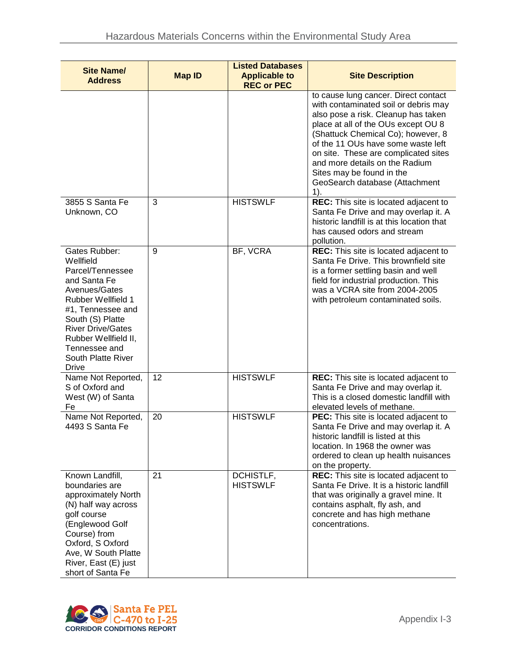| <b>Site Name/</b><br><b>Address</b>                                                                                                                                                                                                                       | <b>Map ID</b> | <b>Listed Databases</b><br><b>Applicable to</b><br><b>REC or PEC</b> | <b>Site Description</b>                                                                                                                                                                                                                                                                                                                                                                   |
|-----------------------------------------------------------------------------------------------------------------------------------------------------------------------------------------------------------------------------------------------------------|---------------|----------------------------------------------------------------------|-------------------------------------------------------------------------------------------------------------------------------------------------------------------------------------------------------------------------------------------------------------------------------------------------------------------------------------------------------------------------------------------|
|                                                                                                                                                                                                                                                           |               |                                                                      | to cause lung cancer. Direct contact<br>with contaminated soil or debris may<br>also pose a risk. Cleanup has taken<br>place at all of the OUs except OU 8<br>(Shattuck Chemical Co); however, 8<br>of the 11 OUs have some waste left<br>on site. These are complicated sites<br>and more details on the Radium<br>Sites may be found in the<br>GeoSearch database (Attachment<br>$1$ ). |
| 3855 S Santa Fe<br>Unknown, CO                                                                                                                                                                                                                            | 3             | <b>HISTSWLF</b>                                                      | REC: This site is located adjacent to<br>Santa Fe Drive and may overlap it. A<br>historic landfill is at this location that<br>has caused odors and stream<br>pollution.                                                                                                                                                                                                                  |
| Gates Rubber:<br>Wellfield<br>Parcel/Tennessee<br>and Santa Fe<br>Avenues/Gates<br><b>Rubber Wellfield 1</b><br>#1, Tennessee and<br>South (S) Platte<br><b>River Drive/Gates</b><br>Rubber Wellfield II,<br>Tennessee and<br>South Platte River<br>Drive | 9             | BF, VCRA                                                             | REC: This site is located adjacent to<br>Santa Fe Drive. This brownfield site<br>is a former settling basin and well<br>field for industrial production. This<br>was a VCRA site from 2004-2005<br>with petroleum contaminated soils.                                                                                                                                                     |
| Name Not Reported,<br>S of Oxford and<br>West (W) of Santa<br>Fe                                                                                                                                                                                          | 12            | <b>HISTSWLF</b>                                                      | REC: This site is located adjacent to<br>Santa Fe Drive and may overlap it.<br>This is a closed domestic landfill with<br>elevated levels of methane.                                                                                                                                                                                                                                     |
| Name Not Reported,<br>4493 S Santa Fe                                                                                                                                                                                                                     | 20            | <b>HISTSWLF</b>                                                      | <b>PEC:</b> This site is located adjacent to<br>Santa Fe Drive and may overlap it. A<br>historic landfill is listed at this<br>location. In 1968 the owner was<br>ordered to clean up health nuisances<br>on the property.                                                                                                                                                                |
| Known Landfill,<br>boundaries are<br>approximately North<br>(N) half way across<br>golf course<br>(Englewood Golf<br>Course) from<br>Oxford, S Oxford<br>Ave, W South Platte<br>River, East (E) just<br>short of Santa Fe                                 | 21            | DCHISTLF,<br><b>HISTSWLF</b>                                         | REC: This site is located adjacent to<br>Santa Fe Drive. It is a historic landfill<br>that was originally a gravel mine. It<br>contains asphalt, fly ash, and<br>concrete and has high methane<br>concentrations.                                                                                                                                                                         |

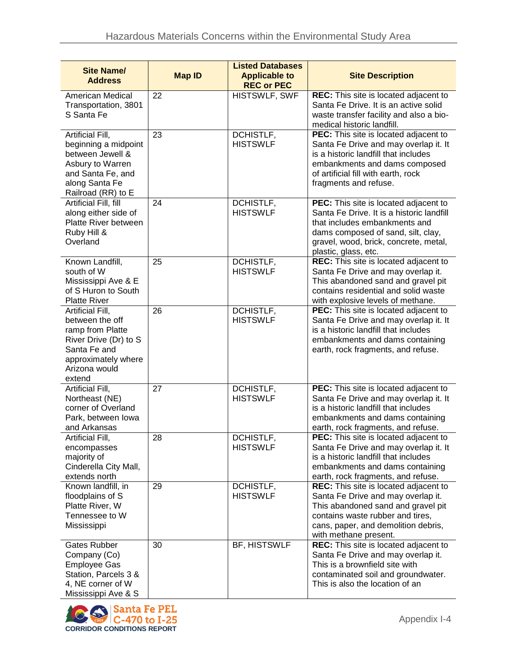| <b>Site Name/</b><br><b>Address</b>                                                                                                                | <b>Map ID</b> | <b>Listed Databases</b><br><b>Applicable to</b><br><b>REC or PEC</b> | <b>Site Description</b>                                                                                                                                                                                                    |
|----------------------------------------------------------------------------------------------------------------------------------------------------|---------------|----------------------------------------------------------------------|----------------------------------------------------------------------------------------------------------------------------------------------------------------------------------------------------------------------------|
| American Medical<br>Transportation, 3801<br>S Santa Fe                                                                                             | 22            | <b>HISTSWLF, SWF</b>                                                 | REC: This site is located adjacent to<br>Santa Fe Drive. It is an active solid<br>waste transfer facility and also a bio-<br>medical historic landfill.                                                                    |
| Artificial Fill,<br>beginning a midpoint<br>between Jewell &<br>Asbury to Warren<br>and Santa Fe, and<br>along Santa Fe<br>Railroad (RR) to E      | 23            | DCHISTLF,<br><b>HISTSWLF</b>                                         | PEC: This site is located adjacent to<br>Santa Fe Drive and may overlap it. It<br>is a historic landfill that includes<br>embankments and dams composed<br>of artificial fill with earth, rock<br>fragments and refuse.    |
| Artificial Fill, fill<br>along either side of<br>Platte River between<br>Ruby Hill &<br>Overland                                                   | 24            | DCHISTLF,<br><b>HISTSWLF</b>                                         | PEC: This site is located adjacent to<br>Santa Fe Drive. It is a historic landfill<br>that includes embankments and<br>dams composed of sand, silt, clay,<br>gravel, wood, brick, concrete, metal,<br>plastic, glass, etc. |
| Known Landfill,<br>south of W<br>Mississippi Ave & E<br>of S Huron to South<br><b>Platte River</b>                                                 | 25            | DCHISTLF,<br><b>HISTSWLF</b>                                         | REC: This site is located adjacent to<br>Santa Fe Drive and may overlap it.<br>This abandoned sand and gravel pit<br>contains residential and solid waste<br>with explosive levels of methane.                             |
| Artificial Fill,<br>between the off<br>ramp from Platte<br>River Drive (Dr) to S<br>Santa Fe and<br>approximately where<br>Arizona would<br>extend | 26            | <b>DCHISTLF,</b><br><b>HISTSWLF</b>                                  | PEC: This site is located adjacent to<br>Santa Fe Drive and may overlap it. It<br>is a historic landfill that includes<br>embankments and dams containing<br>earth, rock fragments, and refuse.                            |
| Artificial Fill,<br>Northeast (NE)<br>corner of Overland<br>Park, between lowa<br>and Arkansas                                                     | 27            | DCHISTLF,<br><b>HISTSWLF</b>                                         | PEC: This site is located adjacent to<br>Santa Fe Drive and may overlap it. It<br>is a historic landfill that includes<br>embankments and dams containing<br>earth, rock fragments, and refuse.                            |
| <b>Artificial Fill,</b><br>encompasses<br>majority of<br>Cinderella City Mall,<br>extends north                                                    | 28            | DCHISTLF,<br><b>HISTSWLF</b>                                         | PEC: This site is located adjacent to<br>Santa Fe Drive and may overlap it. It<br>is a historic landfill that includes<br>embankments and dams containing<br>earth, rock fragments, and refuse.                            |
| Known landfill, in<br>floodplains of S<br>Platte River, W<br>Tennessee to W<br>Mississippi                                                         | 29            | DCHISTLF,<br><b>HISTSWLF</b>                                         | REC: This site is located adjacent to<br>Santa Fe Drive and may overlap it.<br>This abandoned sand and gravel pit<br>contains waste rubber and tires,<br>cans, paper, and demolition debris,<br>with methane present.      |
| Gates Rubber<br>Company (Co)<br><b>Employee Gas</b><br>Station, Parcels 3 &<br>4, NE corner of W<br>Mississippi Ave & S                            | 30            | BF, HISTSWLF                                                         | REC: This site is located adjacent to<br>Santa Fe Drive and may overlap it.<br>This is a brownfield site with<br>contaminated soil and groundwater.<br>This is also the location of an                                     |

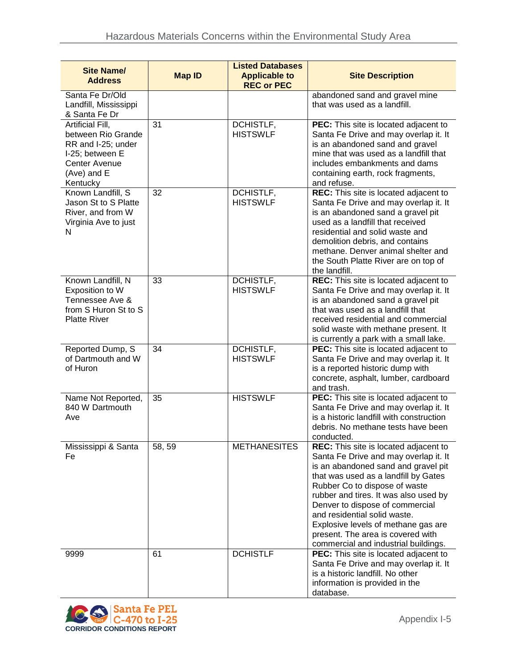| <b>Site Name/</b><br><b>Address</b>                                                                                                | <b>Map ID</b> | <b>Listed Databases</b><br><b>Applicable to</b><br><b>REC or PEC</b> | <b>Site Description</b>                                                                                                                                                                                                                                                                                                                                                                                                        |
|------------------------------------------------------------------------------------------------------------------------------------|---------------|----------------------------------------------------------------------|--------------------------------------------------------------------------------------------------------------------------------------------------------------------------------------------------------------------------------------------------------------------------------------------------------------------------------------------------------------------------------------------------------------------------------|
| Santa Fe Dr/Old<br>Landfill, Mississippi<br>& Santa Fe Dr                                                                          |               |                                                                      | abandoned sand and gravel mine<br>that was used as a landfill.                                                                                                                                                                                                                                                                                                                                                                 |
| Artificial Fill,<br>between Rio Grande<br>RR and I-25; under<br>I-25; between E<br><b>Center Avenue</b><br>(Ave) and E<br>Kentucky | 31            | DCHISTLF,<br><b>HISTSWLF</b>                                         | PEC: This site is located adjacent to<br>Santa Fe Drive and may overlap it. It<br>is an abandoned sand and gravel<br>mine that was used as a landfill that<br>includes embankments and dams<br>containing earth, rock fragments,<br>and refuse.                                                                                                                                                                                |
| Known Landfill, S<br>Jason St to S Platte<br>River, and from W<br>Virginia Ave to just<br>N                                        | 32            | DCHISTLF,<br><b>HISTSWLF</b>                                         | REC: This site is located adjacent to<br>Santa Fe Drive and may overlap it. It<br>is an abandoned sand a gravel pit<br>used as a landfill that received<br>residential and solid waste and<br>demolition debris, and contains<br>methane. Denver animal shelter and<br>the South Platte River are on top of<br>the landfill.                                                                                                   |
| Known Landfill, N<br>Exposition to W<br>Tennessee Ave &<br>from S Huron St to S<br><b>Platte River</b>                             | 33            | DCHISTLF,<br><b>HISTSWLF</b>                                         | REC: This site is located adjacent to<br>Santa Fe Drive and may overlap it. It<br>is an abandoned sand a gravel pit<br>that was used as a landfill that<br>received residential and commercial<br>solid waste with methane present. It<br>is currently a park with a small lake.                                                                                                                                               |
| Reported Dump, S<br>of Dartmouth and W<br>of Huron                                                                                 | 34            | DCHISTLF,<br><b>HISTSWLF</b>                                         | PEC: This site is located adjacent to<br>Santa Fe Drive and may overlap it. It<br>is a reported historic dump with<br>concrete, asphalt, lumber, cardboard<br>and trash.                                                                                                                                                                                                                                                       |
| Name Not Reported,<br>840 W Dartmouth<br>Ave                                                                                       | 35            | <b>HISTSWLF</b>                                                      | PEC: This site is located adjacent to<br>Santa Fe Drive and may overlap it. It<br>is a historic landfill with construction<br>debris. No methane tests have been<br>conducted.                                                                                                                                                                                                                                                 |
| Mississippi & Santa<br>Fe                                                                                                          | 58, 59        | <b>METHANESITES</b>                                                  | REC: This site is located adjacent to<br>Santa Fe Drive and may overlap it. It<br>is an abandoned sand and gravel pit<br>that was used as a landfill by Gates<br>Rubber Co to dispose of waste<br>rubber and tires. It was also used by<br>Denver to dispose of commercial<br>and residential solid waste.<br>Explosive levels of methane gas are<br>present. The area is covered with<br>commercial and industrial buildings. |
| 9999                                                                                                                               | 61            | <b>DCHISTLF</b>                                                      | PEC: This site is located adjacent to<br>Santa Fe Drive and may overlap it. It<br>is a historic landfill. No other<br>information is provided in the<br>database.                                                                                                                                                                                                                                                              |

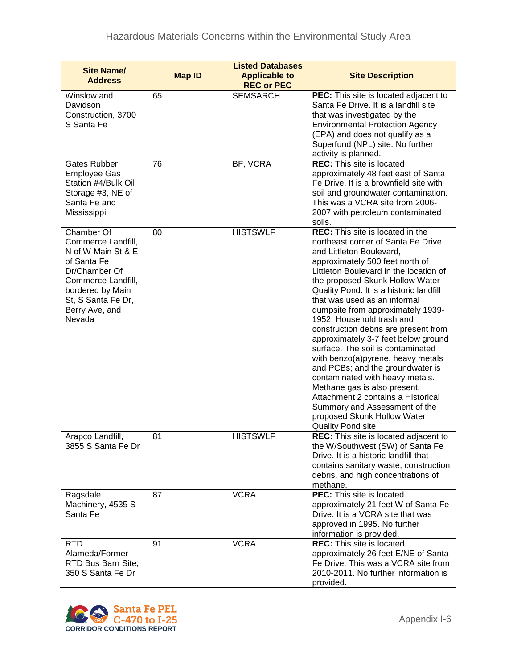| <b>Site Name/</b><br><b>Address</b>                                                                                                                                                | <b>Map ID</b> | <b>Listed Databases</b><br><b>Applicable to</b> | <b>Site Description</b>                                                                                                                                                                                                                                                                                                                                                                                                                                                                                                                                                                                                                                                                                                                                            |
|------------------------------------------------------------------------------------------------------------------------------------------------------------------------------------|---------------|-------------------------------------------------|--------------------------------------------------------------------------------------------------------------------------------------------------------------------------------------------------------------------------------------------------------------------------------------------------------------------------------------------------------------------------------------------------------------------------------------------------------------------------------------------------------------------------------------------------------------------------------------------------------------------------------------------------------------------------------------------------------------------------------------------------------------------|
| Winslow and<br>Davidson<br>Construction, 3700<br>S Santa Fe                                                                                                                        | 65            | <b>REC or PEC</b><br><b>SEMSARCH</b>            | PEC: This site is located adjacent to<br>Santa Fe Drive. It is a landfill site<br>that was investigated by the<br><b>Environmental Protection Agency</b><br>(EPA) and does not qualify as a<br>Superfund (NPL) site. No further<br>activity is planned.                                                                                                                                                                                                                                                                                                                                                                                                                                                                                                            |
| Gates Rubber<br><b>Employee Gas</b><br>Station #4/Bulk Oil<br>Storage #3, NE of<br>Santa Fe and<br>Mississippi                                                                     | 76            | BF, VCRA                                        | <b>REC:</b> This site is located<br>approximately 48 feet east of Santa<br>Fe Drive. It is a brownfield site with<br>soil and groundwater contamination.<br>This was a VCRA site from 2006-<br>2007 with petroleum contaminated<br>soils.                                                                                                                                                                                                                                                                                                                                                                                                                                                                                                                          |
| Chamber Of<br>Commerce Landfill,<br>N of W Main St & E<br>of Santa Fe<br>Dr/Chamber Of<br>Commerce Landfill,<br>bordered by Main<br>St, S Santa Fe Dr,<br>Berry Ave, and<br>Nevada | 80            | <b>HISTSWLF</b>                                 | <b>REC:</b> This site is located in the<br>northeast corner of Santa Fe Drive<br>and Littleton Boulevard,<br>approximately 500 feet north of<br>Littleton Boulevard in the location of<br>the proposed Skunk Hollow Water<br>Quality Pond. It is a historic landfill<br>that was used as an informal<br>dumpsite from approximately 1939-<br>1952. Household trash and<br>construction debris are present from<br>approximately 3-7 feet below ground<br>surface. The soil is contaminated<br>with benzo(a)pyrene, heavy metals<br>and PCBs; and the groundwater is<br>contaminated with heavy metals.<br>Methane gas is also present.<br>Attachment 2 contains a Historical<br>Summary and Assessment of the<br>proposed Skunk Hollow Water<br>Quality Pond site. |
| Arapco Landfill,<br>3855 S Santa Fe Dr                                                                                                                                             | 81            | <b>HISTSWLF</b>                                 | REC: This site is located adjacent to<br>the W/Southwest (SW) of Santa Fe<br>Drive. It is a historic landfill that<br>contains sanitary waste, construction<br>debris, and high concentrations of<br>methane.                                                                                                                                                                                                                                                                                                                                                                                                                                                                                                                                                      |
| Ragsdale<br>Machinery, 4535 S<br>Santa Fe                                                                                                                                          | 87            | <b>VCRA</b>                                     | <b>PEC:</b> This site is located<br>approximately 21 feet W of Santa Fe<br>Drive. It is a VCRA site that was<br>approved in 1995. No further<br>information is provided.                                                                                                                                                                                                                                                                                                                                                                                                                                                                                                                                                                                           |
| <b>RTD</b><br>Alameda/Former<br>RTD Bus Barn Site,<br>350 S Santa Fe Dr                                                                                                            | 91            | <b>VCRA</b>                                     | <b>REC:</b> This site is located<br>approximately 26 feet E/NE of Santa<br>Fe Drive. This was a VCRA site from<br>2010-2011. No further information is<br>provided.                                                                                                                                                                                                                                                                                                                                                                                                                                                                                                                                                                                                |

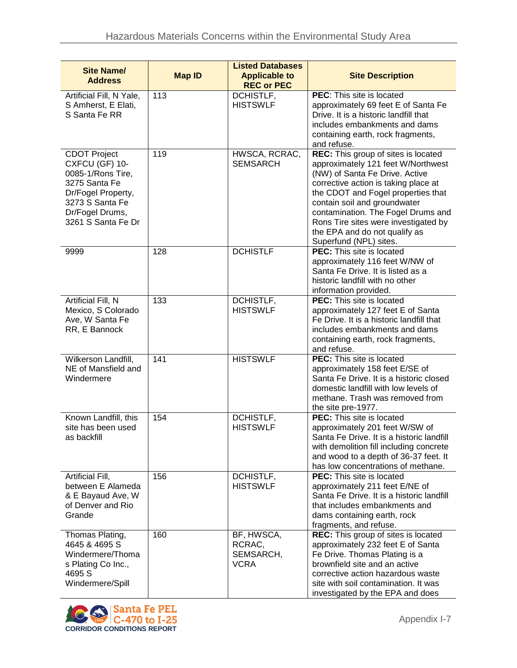| <b>Site Name/</b><br><b>Address</b>                                                                                                                           | <b>Map ID</b> | <b>Listed Databases</b><br><b>Applicable to</b><br><b>REC or PEC</b> | <b>Site Description</b>                                                                                                                                                                                                                                                                                                                                            |
|---------------------------------------------------------------------------------------------------------------------------------------------------------------|---------------|----------------------------------------------------------------------|--------------------------------------------------------------------------------------------------------------------------------------------------------------------------------------------------------------------------------------------------------------------------------------------------------------------------------------------------------------------|
| Artificial Fill, N Yale,<br>S Amherst, E Elati,<br>S Santa Fe RR                                                                                              | 113           | DCHISTLF,<br><b>HISTSWLF</b>                                         | PEC: This site is located<br>approximately 69 feet E of Santa Fe<br>Drive. It is a historic landfill that<br>includes embankments and dams<br>containing earth, rock fragments,<br>and refuse.                                                                                                                                                                     |
| <b>CDOT Project</b><br>CXFCU (GF) 10-<br>0085-1/Rons Tire,<br>3275 Santa Fe<br>Dr/Fogel Property,<br>3273 S Santa Fe<br>Dr/Fogel Drums,<br>3261 S Santa Fe Dr | 119           | HWSCA, RCRAC,<br><b>SEMSARCH</b>                                     | REC: This group of sites is located<br>approximately 121 feet W/Northwest<br>(NW) of Santa Fe Drive. Active<br>corrective action is taking place at<br>the CDOT and Fogel properties that<br>contain soil and groundwater<br>contamination. The Fogel Drums and<br>Rons Tire sites were investigated by<br>the EPA and do not qualify as<br>Superfund (NPL) sites. |
| 9999                                                                                                                                                          | 128           | <b>DCHISTLF</b>                                                      | <b>PEC:</b> This site is located<br>approximately 116 feet W/NW of<br>Santa Fe Drive. It is listed as a<br>historic landfill with no other<br>information provided.                                                                                                                                                                                                |
| Artificial Fill, N<br>Mexico, S Colorado<br>Ave, W Santa Fe<br>RR, E Bannock                                                                                  | 133           | DCHISTLF,<br><b>HISTSWLF</b>                                         | <b>PEC:</b> This site is located<br>approximately 127 feet E of Santa<br>Fe Drive. It is a historic landfill that<br>includes embankments and dams<br>containing earth, rock fragments,<br>and refuse.                                                                                                                                                             |
| Wilkerson Landfill,<br>NE of Mansfield and<br>Windermere                                                                                                      | 141           | <b>HISTSWLF</b>                                                      | PEC: This site is located<br>approximately 158 feet E/SE of<br>Santa Fe Drive. It is a historic closed<br>domestic landfill with low levels of<br>methane. Trash was removed from<br>the site pre-1977.                                                                                                                                                            |
| Known Landfill, this<br>site has been used<br>as backfill                                                                                                     | 154           | DCHISTLF,<br><b>HISTSWLF</b>                                         | PEC: This site is located<br>approximately 201 feet W/SW of<br>Santa Fe Drive. It is a historic landfill<br>with demolition fill including concrete<br>and wood to a depth of 36-37 feet. It<br>has low concentrations of methane.                                                                                                                                 |
| Artificial Fill,<br>between E Alameda<br>& E Bayaud Ave, W<br>of Denver and Rio<br>Grande                                                                     | 156           | DCHISTLF,<br><b>HISTSWLF</b>                                         | <b>PEC:</b> This site is located<br>approximately 211 feet E/NE of<br>Santa Fe Drive. It is a historic landfill<br>that includes embankments and<br>dams containing earth, rock<br>fragments, and refuse.                                                                                                                                                          |
| Thomas Plating,<br>4645 & 4695 S<br>Windermere/Thoma<br>s Plating Co Inc.,<br>4695 S<br>Windermere/Spill                                                      | 160           | BF, HWSCA,<br>RCRAC,<br>SEMSARCH,<br><b>VCRA</b>                     | REC: This group of sites is located<br>approximately 232 feet E of Santa<br>Fe Drive. Thomas Plating is a<br>brownfield site and an active<br>corrective action hazardous waste<br>site with soil contamination. It was<br>investigated by the EPA and does                                                                                                        |

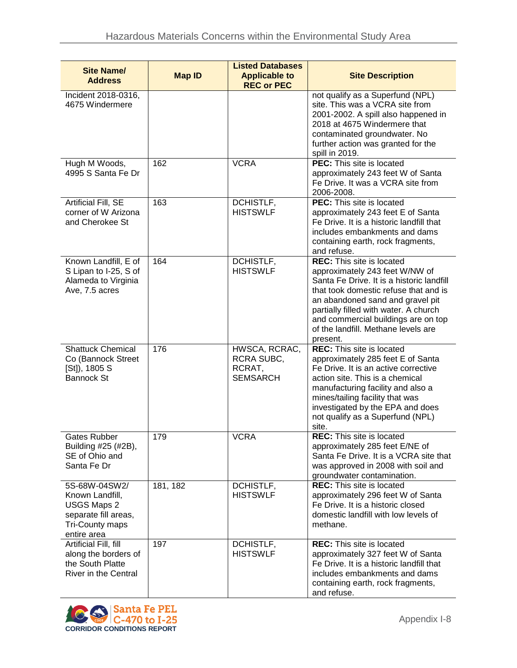| <b>Site Name/</b><br><b>Address</b>                                                                                     | <b>Map ID</b> | <b>Listed Databases</b><br><b>Applicable to</b><br><b>REC or PEC</b> | <b>Site Description</b>                                                                                                                                                                                                                                                                                                         |
|-------------------------------------------------------------------------------------------------------------------------|---------------|----------------------------------------------------------------------|---------------------------------------------------------------------------------------------------------------------------------------------------------------------------------------------------------------------------------------------------------------------------------------------------------------------------------|
| Incident 2018-0316,<br>4675 Windermere                                                                                  |               |                                                                      | not qualify as a Superfund (NPL)<br>site. This was a VCRA site from<br>2001-2002. A spill also happened in<br>2018 at 4675 Windermere that<br>contaminated groundwater. No<br>further action was granted for the<br>spill in 2019.                                                                                              |
| Hugh M Woods,<br>4995 S Santa Fe Dr                                                                                     | 162           | <b>VCRA</b>                                                          | <b>PEC:</b> This site is located<br>approximately 243 feet W of Santa<br>Fe Drive. It was a VCRA site from<br>2006-2008.                                                                                                                                                                                                        |
| Artificial Fill, SE<br>corner of W Arizona<br>and Cherokee St                                                           | 163           | DCHISTLF,<br><b>HISTSWLF</b>                                         | <b>PEC:</b> This site is located<br>approximately 243 feet E of Santa<br>Fe Drive. It is a historic landfill that<br>includes embankments and dams<br>containing earth, rock fragments,<br>and refuse.                                                                                                                          |
| Known Landfill, E of<br>S Lipan to I-25, S of<br>Alameda to Virginia<br>Ave, 7.5 acres                                  | 164           | DCHISTLF,<br><b>HISTSWLF</b>                                         | <b>REC:</b> This site is located<br>approximately 243 feet W/NW of<br>Santa Fe Drive. It is a historic landfill<br>that took domestic refuse that and is<br>an abandoned sand and gravel pit<br>partially filled with water. A church<br>and commercial buildings are on top<br>of the landfill. Methane levels are<br>present. |
| <b>Shattuck Chemical</b><br>Co (Bannock Street<br>[St]), 1805 S<br><b>Bannock St</b>                                    | 176           | HWSCA, RCRAC,<br>RCRA SUBC,<br>RCRAT,<br><b>SEMSARCH</b>             | <b>REC:</b> This site is located<br>approximately 285 feet E of Santa<br>Fe Drive. It is an active corrective<br>action site. This is a chemical<br>manufacturing facility and also a<br>mines/tailing facility that was<br>investigated by the EPA and does<br>not qualify as a Superfund (NPL)<br>site.                       |
| Gates Rubber<br>Building #25 (#2B),<br>SE of Ohio and<br>Santa Fe Dr                                                    | 179           | <b>VCRA</b>                                                          | <b>REC:</b> This site is located<br>approximately 285 feet E/NE of<br>Santa Fe Drive. It is a VCRA site that<br>was approved in 2008 with soil and<br>groundwater contamination.                                                                                                                                                |
| 5S-68W-04SW2/<br>Known Landfill,<br><b>USGS Maps 2</b><br>separate fill areas,<br><b>Tri-County maps</b><br>entire area | 181, 182      | DCHISTLF,<br><b>HISTSWLF</b>                                         | <b>REC:</b> This site is located<br>approximately 296 feet W of Santa<br>Fe Drive. It is a historic closed<br>domestic landfill with low levels of<br>methane.                                                                                                                                                                  |
| Artificial Fill, fill<br>along the borders of<br>the South Platte<br>River in the Central                               | 197           | DCHISTLF,<br><b>HISTSWLF</b>                                         | <b>REC:</b> This site is located<br>approximately 327 feet W of Santa<br>Fe Drive. It is a historic landfill that<br>includes embankments and dams<br>containing earth, rock fragments,<br>and refuse.                                                                                                                          |

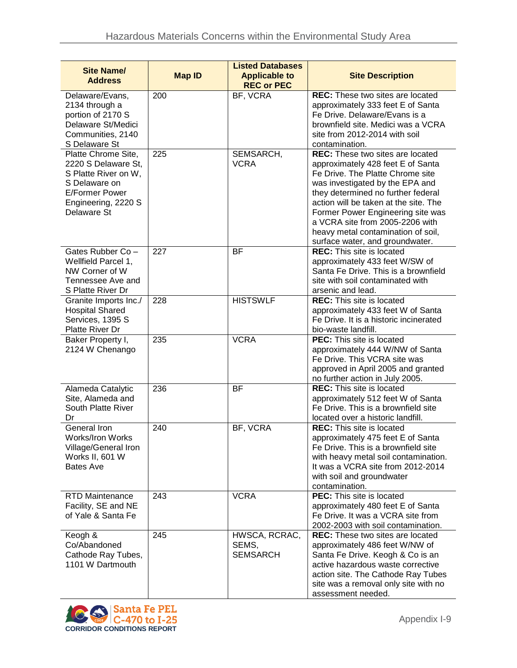| <b>Site Name/</b><br><b>Address</b>                                                                                                                | <b>Map ID</b> | <b>Listed Databases</b><br><b>Applicable to</b><br><b>REC or PEC</b> | <b>Site Description</b>                                                                                                                                                                                                                                                                                                                                                             |
|----------------------------------------------------------------------------------------------------------------------------------------------------|---------------|----------------------------------------------------------------------|-------------------------------------------------------------------------------------------------------------------------------------------------------------------------------------------------------------------------------------------------------------------------------------------------------------------------------------------------------------------------------------|
| Delaware/Evans,<br>2134 through a<br>portion of 2170 S<br>Delaware St/Medici<br>Communities, 2140<br>S Delaware St                                 | 200           | BF, VCRA                                                             | <b>REC:</b> These two sites are located<br>approximately 333 feet E of Santa<br>Fe Drive. Delaware/Evans is a<br>brownfield site. Medici was a VCRA<br>site from 2012-2014 with soil<br>contamination.                                                                                                                                                                              |
| Platte Chrome Site,<br>2220 S Delaware St,<br>S Platte River on W,<br>S Delaware on<br><b>E/Former Power</b><br>Engineering, 2220 S<br>Delaware St | 225           | SEMSARCH,<br><b>VCRA</b>                                             | <b>REC:</b> These two sites are located<br>approximately 428 feet E of Santa<br>Fe Drive. The Platte Chrome site<br>was investigated by the EPA and<br>they determined no further federal<br>action will be taken at the site. The<br>Former Power Engineering site was<br>a VCRA site from 2005-2206 with<br>heavy metal contamination of soil,<br>surface water, and groundwater. |
| Gates Rubber Co -<br>Wellfield Parcel 1,<br>NW Corner of W<br>Tennessee Ave and<br>S Platte River Dr                                               | 227           | BF                                                                   | <b>REC:</b> This site is located<br>approximately 433 feet W/SW of<br>Santa Fe Drive. This is a brownfield<br>site with soil contaminated with<br>arsenic and lead.                                                                                                                                                                                                                 |
| Granite Imports Inc./<br><b>Hospital Shared</b><br>Services, 1395 S<br>Platte River Dr                                                             | 228           | <b>HISTSWLF</b>                                                      | <b>REC:</b> This site is located<br>approximately 433 feet W of Santa<br>Fe Drive. It is a historic incinerated<br>bio-waste landfill.                                                                                                                                                                                                                                              |
| Baker Property I,<br>2124 W Chenango                                                                                                               | 235           | <b>VCRA</b>                                                          | <b>PEC:</b> This site is located<br>approximately 444 W/NW of Santa<br>Fe Drive. This VCRA site was<br>approved in April 2005 and granted<br>no further action in July 2005.                                                                                                                                                                                                        |
| Alameda Catalytic<br>Site, Alameda and<br>South Platte River<br>Dr                                                                                 | 236           | <b>BF</b>                                                            | <b>REC:</b> This site is located<br>approximately 512 feet W of Santa<br>Fe Drive. This is a brownfield site<br>located over a historic landfill.                                                                                                                                                                                                                                   |
| General Iron<br><b>Works/Iron Works</b><br>Village/General Iron<br>Works II, 601 W<br><b>Bates Ave</b>                                             | 240           | BF, VCRA                                                             | REC: This site is located<br>approximately 475 feet E of Santa<br>Fe Drive. This is a brownfield site<br>with heavy metal soil contamination.<br>It was a VCRA site from 2012-2014<br>with soil and groundwater<br>contamination.                                                                                                                                                   |
| <b>RTD Maintenance</b><br>Facility, SE and NE<br>of Yale & Santa Fe                                                                                | 243           | <b>VCRA</b>                                                          | <b>PEC:</b> This site is located<br>approximately 480 feet E of Santa<br>Fe Drive. It was a VCRA site from<br>2002-2003 with soil contamination.                                                                                                                                                                                                                                    |
| Keogh &<br>Co/Abandoned<br>Cathode Ray Tubes,<br>1101 W Dartmouth                                                                                  | 245           | HWSCA, RCRAC,<br>SEMS,<br><b>SEMSARCH</b>                            | <b>REC:</b> These two sites are located<br>approximately 486 feet W/NW of<br>Santa Fe Drive. Keogh & Co is an<br>active hazardous waste corrective<br>action site. The Cathode Ray Tubes<br>site was a removal only site with no<br>assessment needed.                                                                                                                              |

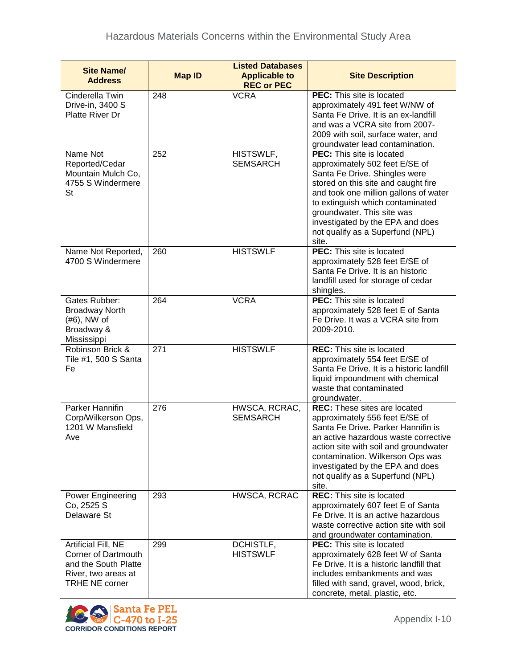| <b>Site Name/</b><br><b>Address</b>                                                                                       | <b>Map ID</b> | <b>Listed Databases</b><br><b>Applicable to</b><br><b>REC or PEC</b> | <b>Site Description</b>                                                                                                                                                                                                                                                                                                                |
|---------------------------------------------------------------------------------------------------------------------------|---------------|----------------------------------------------------------------------|----------------------------------------------------------------------------------------------------------------------------------------------------------------------------------------------------------------------------------------------------------------------------------------------------------------------------------------|
| Cinderella Twin<br>Drive-in, 3400 S<br><b>Platte River Dr</b>                                                             | 248           | <b>VCRA</b>                                                          | PEC: This site is located<br>approximately 491 feet W/NW of<br>Santa Fe Drive. It is an ex-landfill<br>and was a VCRA site from 2007-<br>2009 with soil, surface water, and<br>groundwater lead contamination.                                                                                                                         |
| Name Not<br>Reported/Cedar<br>Mountain Mulch Co,<br>4755 S Windermere<br><b>St</b>                                        | 252           | HISTSWLF,<br><b>SEMSARCH</b>                                         | <b>PEC:</b> This site is located<br>approximately 502 feet E/SE of<br>Santa Fe Drive. Shingles were<br>stored on this site and caught fire<br>and took one million gallons of water<br>to extinguish which contaminated<br>groundwater. This site was<br>investigated by the EPA and does<br>not qualify as a Superfund (NPL)<br>site. |
| Name Not Reported,<br>4700 S Windermere                                                                                   | 260           | <b>HISTSWLF</b>                                                      | <b>PEC:</b> This site is located<br>approximately 528 feet E/SE of<br>Santa Fe Drive. It is an historic<br>landfill used for storage of cedar<br>shingles.                                                                                                                                                                             |
| Gates Rubber:<br><b>Broadway North</b><br>$(#6)$ , NW of<br>Broadway &<br>Mississippi                                     | 264           | <b>VCRA</b>                                                          | <b>PEC:</b> This site is located<br>approximately 528 feet E of Santa<br>Fe Drive. It was a VCRA site from<br>2009-2010.                                                                                                                                                                                                               |
| Robinson Brick &<br>Tile #1, 500 S Santa<br>Fe                                                                            | 271           | <b>HISTSWLF</b>                                                      | <b>REC:</b> This site is located<br>approximately 554 feet E/SE of<br>Santa Fe Drive. It is a historic landfill<br>liquid impoundment with chemical<br>waste that contaminated<br>groundwater.                                                                                                                                         |
| Parker Hannifin<br>Corp/Wilkerson Ops,<br>1201 W Mansfield<br>Ave                                                         | 276           | HWSCA, RCRAC,<br><b>SEMSARCH</b>                                     | <b>REC:</b> These sites are located<br>approximately 556 feet E/SE of<br>Santa Fe Drive. Parker Hannifin is<br>an active hazardous waste corrective<br>action site with soil and groundwater<br>contamination. Wilkerson Ops was<br>investigated by the EPA and does<br>not qualify as a Superfund (NPL)<br>site.                      |
| <b>Power Engineering</b><br>Co, 2525 S<br>Delaware St                                                                     | 293           | HWSCA, RCRAC                                                         | <b>REC:</b> This site is located<br>approximately 607 feet E of Santa<br>Fe Drive. It is an active hazardous<br>waste corrective action site with soil<br>and groundwater contamination.                                                                                                                                               |
| Artificial Fill, NE<br><b>Corner of Dartmouth</b><br>and the South Platte<br>River, two areas at<br><b>TRHE NE corner</b> | 299           | DCHISTLF,<br><b>HISTSWLF</b>                                         | <b>PEC:</b> This site is located<br>approximately 628 feet W of Santa<br>Fe Drive. It is a historic landfill that<br>includes embankments and was<br>filled with sand, gravel, wood, brick,<br>concrete, metal, plastic, etc.                                                                                                          |

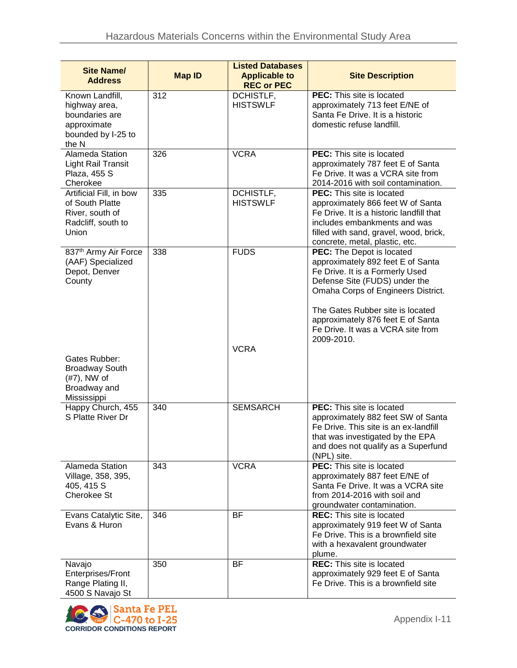| <b>Site Name/</b><br><b>Address</b>                                                              | <b>Map ID</b> | <b>Listed Databases</b><br><b>Applicable to</b><br><b>REC or PEC</b> | <b>Site Description</b>                                                                                                                                                                                                                                                                              |
|--------------------------------------------------------------------------------------------------|---------------|----------------------------------------------------------------------|------------------------------------------------------------------------------------------------------------------------------------------------------------------------------------------------------------------------------------------------------------------------------------------------------|
| Known Landfill,<br>highway area,<br>boundaries are<br>approximate<br>bounded by I-25 to<br>the N | 312           | DCHISTLF,<br><b>HISTSWLF</b>                                         | PEC: This site is located<br>approximately 713 feet E/NE of<br>Santa Fe Drive. It is a historic<br>domestic refuse landfill.                                                                                                                                                                         |
| Alameda Station<br>Light Rail Transit<br>Plaza, 455 S<br>Cherokee                                | 326           | <b>VCRA</b>                                                          | <b>PEC:</b> This site is located<br>approximately 787 feet E of Santa<br>Fe Drive. It was a VCRA site from<br>2014-2016 with soil contamination.                                                                                                                                                     |
| Artificial Fill, in bow<br>of South Platte<br>River, south of<br>Radcliff, south to<br>Union     | 335           | DCHISTLF,<br><b>HISTSWLF</b>                                         | PEC: This site is located<br>approximately 866 feet W of Santa<br>Fe Drive. It is a historic landfill that<br>includes embankments and was<br>filled with sand, gravel, wood, brick,<br>concrete, metal, plastic, etc.                                                                               |
| 837 <sup>th</sup> Army Air Force<br>(AAF) Specialized<br>Depot, Denver<br>County                 | 338           | <b>FUDS</b>                                                          | PEC: The Depot is located<br>approximately 892 feet E of Santa<br>Fe Drive. It is a Formerly Used<br>Defense Site (FUDS) under the<br>Omaha Corps of Engineers District.<br>The Gates Rubber site is located<br>approximately 876 feet E of Santa<br>Fe Drive. It was a VCRA site from<br>2009-2010. |
| Gates Rubber:<br><b>Broadway South</b><br>$(#7)$ , NW of<br>Broadway and<br>Mississippi          |               | <b>VCRA</b>                                                          |                                                                                                                                                                                                                                                                                                      |
| Happy Church, 455<br>S Platte River Dr                                                           | 340           | <b>SEMSARCH</b>                                                      | PEC: This site is located<br>approximately 882 feet SW of Santa<br>Fe Drive. This site is an ex-landfill<br>that was investigated by the EPA<br>and does not qualify as a Superfund<br>(NPL) site.                                                                                                   |
| Alameda Station<br>Village, 358, 395,<br>405, 415 S<br>Cherokee St                               | 343           | <b>VCRA</b>                                                          | PEC: This site is located<br>approximately 887 feet E/NE of<br>Santa Fe Drive. It was a VCRA site<br>from 2014-2016 with soil and<br>groundwater contamination.                                                                                                                                      |
| Evans Catalytic Site,<br>Evans & Huron                                                           | 346           | <b>BF</b>                                                            | <b>REC:</b> This site is located<br>approximately 919 feet W of Santa<br>Fe Drive. This is a brownfield site<br>with a hexavalent groundwater<br>plume.                                                                                                                                              |
| Navajo<br>Enterprises/Front<br>Range Plating II,<br>4500 S Navajo St                             | 350           | <b>BF</b>                                                            | <b>REC:</b> This site is located<br>approximately 929 feet E of Santa<br>Fe Drive. This is a brownfield site                                                                                                                                                                                         |

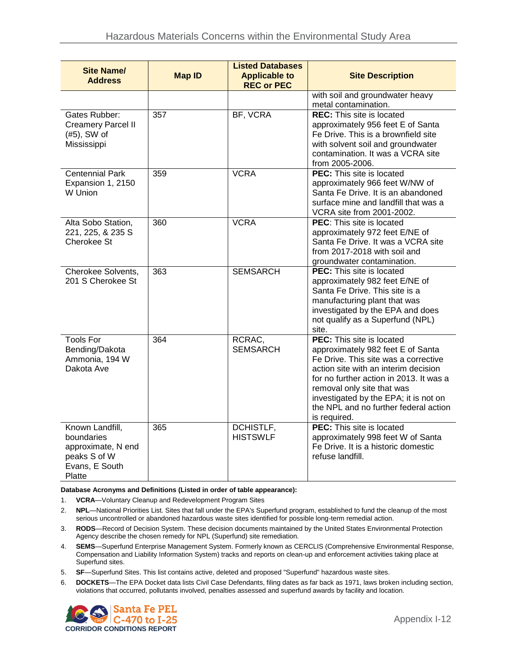| <b>Site Name/</b><br><b>Address</b>                                                             | <b>Map ID</b> | <b>Listed Databases</b><br><b>Applicable to</b><br><b>REC or PEC</b> | <b>Site Description</b>                                                                                                                                                                                                                                                                                                          |
|-------------------------------------------------------------------------------------------------|---------------|----------------------------------------------------------------------|----------------------------------------------------------------------------------------------------------------------------------------------------------------------------------------------------------------------------------------------------------------------------------------------------------------------------------|
|                                                                                                 |               |                                                                      | with soil and groundwater heavy<br>metal contamination.                                                                                                                                                                                                                                                                          |
| Gates Rubber:<br><b>Creamery Parcel II</b><br>$(#5)$ , SW of<br>Mississippi                     | 357           | BF, VCRA                                                             | <b>REC:</b> This site is located<br>approximately 956 feet E of Santa<br>Fe Drive. This is a brownfield site<br>with solvent soil and groundwater<br>contamination. It was a VCRA site<br>from 2005-2006.                                                                                                                        |
| <b>Centennial Park</b><br>Expansion 1, 2150<br>W Union                                          | 359           | <b>VCRA</b>                                                          | <b>PEC:</b> This site is located<br>approximately 966 feet W/NW of<br>Santa Fe Drive. It is an abandoned<br>surface mine and landfill that was a<br>VCRA site from 2001-2002.                                                                                                                                                    |
| Alta Sobo Station,<br>221, 225, & 235 S<br>Cherokee St                                          | 360           | <b>VCRA</b>                                                          | <b>PEC:</b> This site is located<br>approximately 972 feet E/NE of<br>Santa Fe Drive. It was a VCRA site<br>from 2017-2018 with soil and<br>groundwater contamination.                                                                                                                                                           |
| Cherokee Solvents,<br>201 S Cherokee St                                                         | 363           | <b>SEMSARCH</b>                                                      | <b>PEC:</b> This site is located<br>approximately 982 feet E/NE of<br>Santa Fe Drive. This site is a<br>manufacturing plant that was<br>investigated by the EPA and does<br>not qualify as a Superfund (NPL)<br>site.                                                                                                            |
| <b>Tools For</b><br>Bending/Dakota<br>Ammonia, 194 W<br>Dakota Ave                              | 364           | RCRAC,<br><b>SEMSARCH</b>                                            | <b>PEC:</b> This site is located<br>approximately 982 feet E of Santa<br>Fe Drive. This site was a corrective<br>action site with an interim decision<br>for no further action in 2013. It was a<br>removal only site that was<br>investigated by the EPA; it is not on<br>the NPL and no further federal action<br>is required. |
| Known Landfill,<br>boundaries<br>approximate, N end<br>peaks S of W<br>Evans, E South<br>Platte | 365           | DCHISTLF,<br><b>HISTSWLF</b>                                         | <b>PEC:</b> This site is located<br>approximately 998 feet W of Santa<br>Fe Drive. It is a historic domestic<br>refuse landfill.                                                                                                                                                                                                 |

**Database Acronyms and Definitions (Listed in order of table appearance):**

1. **VCRA**—Voluntary Cleanup and Redevelopment Program Sites

- 2. **NPL**—National Priorities List. Sites that fall under the EPA's Superfund program, established to fund the cleanup of the most serious uncontrolled or abandoned hazardous waste sites identified for possible long-term remedial action.
- 3. **RODS**—Record of Decision System. These decision documents maintained by the United States Environmental Protection Agency describe the chosen remedy for NPL (Superfund) site remediation.
- 4. **SEMS**—Superfund Enterprise Management System. Formerly known as CERCLIS (Comprehensive Environmental Response, Compensation and Liability Information System) tracks and reports on clean-up and enforcement activities taking place at Superfund sites.
- 5. **SF**—Superfund Sites. This list contains active, deleted and proposed "Superfund" hazardous waste sites.
- 6. **DOCKETS**—The EPA Docket data lists Civil Case Defendants, filing dates as far back as 1971, laws broken including section, violations that occurred, pollutants involved, penalties assessed and superfund awards by facility and location.

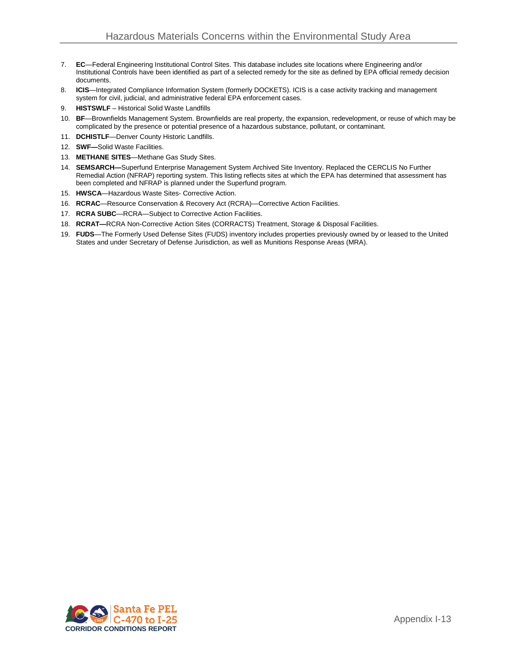- 7. **EC**—Federal Engineering Institutional Control Sites. This database includes site locations where Engineering and/or Institutional Controls have been identified as part of a selected remedy for the site as defined by EPA official remedy decision documents.
- 8. **ICIS**—Integrated Compliance Information System (formerly DOCKETS). ICIS is a case activity tracking and management system for civil, judicial, and administrative federal EPA enforcement cases.
- 9. **HISTSWLF** Historical Solid Waste Landfills
- 10. **BF**—Brownfields Management System. Brownfields are real property, the expansion, redevelopment, or reuse of which may be complicated by the presence or potential presence of a hazardous substance, pollutant, or contaminant.
- 11. **DCHISTLF**—Denver County Historic Landfills.
- 12. **SWF—**Solid Waste Facilities.
- 13. **METHANE SITES**—Methane Gas Study Sites.
- 14. **SEMSARCH—**Superfund Enterprise Management System Archived Site Inventory. Replaced the CERCLIS No Further Remedial Action (NFRAP) reporting system. This listing reflects sites at which the EPA has determined that assessment has been completed and NFRAP is planned under the Superfund program.
- 15. **HWSCA**—Hazardous Waste Sites- Corrective Action.
- 16. **RCRAC**—Resource Conservation & Recovery Act (RCRA)—Corrective Action Facilities.
- 17. **RCRA SUBC**—RCRA—Subject to Corrective Action Facilities.
- 18. **RCRAT—**RCRA Non-Corrective Action Sites (CORRACTS) Treatment, Storage & Disposal Facilities.
- 19. **FUDS**—The Formerly Used Defense Sites (FUDS) inventory includes properties previously owned by or leased to the United States and under Secretary of Defense Jurisdiction, as well as Munitions Response Areas (MRA).

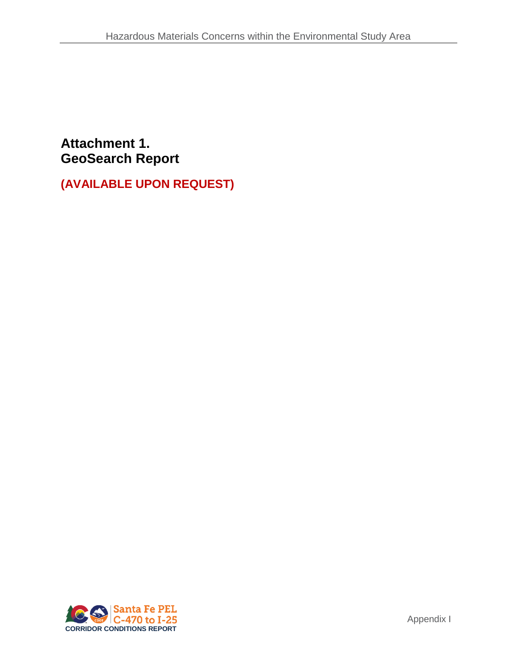## **Attachment 1. GeoSearch Report**

**(AVAILABLE UPON REQUEST)**